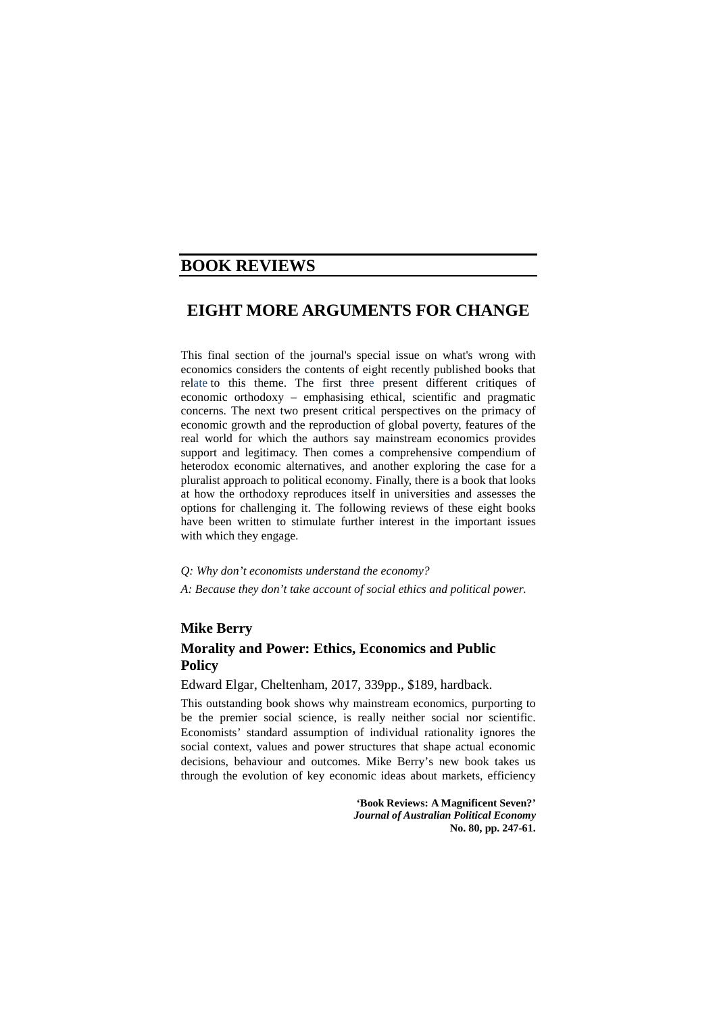## **BOOK REVIEWS**

# **EIGHT MORE ARGUMENTS FOR CHANGE**

This final section of the journal's special issue on what's wrong with economics considers the contents of eight recently published books that relate to this theme. The first three present different critiques of economic orthodoxy – emphasising ethical, scientific and pragmatic concerns. The next two present critical perspectives on the primacy of economic growth and the reproduction of global poverty, features of the real world for which the authors say mainstream economics provides support and legitimacy. Then comes a comprehensive compendium of heterodox economic alternatives, and another exploring the case for a pluralist approach to political economy. Finally, there is a book that looks at how the orthodoxy reproduces itself in universities and assesses the options for challenging it. The following reviews of these eight books have been written to stimulate further interest in the important issues with which they engage.

## *Q: Why don't economists understand the economy?*

*A: Because they don't take account of social ethics and political power.*

#### **Mike Berry**

## **Morality and Power: Ethics, Economics and Public Policy**

Edward Elgar, Cheltenham, 2017, 339pp., \$189, hardback.

This outstanding book shows why mainstream economics, purporting to be the premier social science, is really neither social nor scientific. Economists' standard assumption of individual rationality ignores the social context, values and power structures that shape actual economic decisions, behaviour and outcomes. Mike Berry's new book takes us through the evolution of key economic ideas about markets, efficiency

> **'Book Reviews: A Magnificent Seven?'**  *Journal of Australian Political Economy* **No. 80, pp. 247-61.**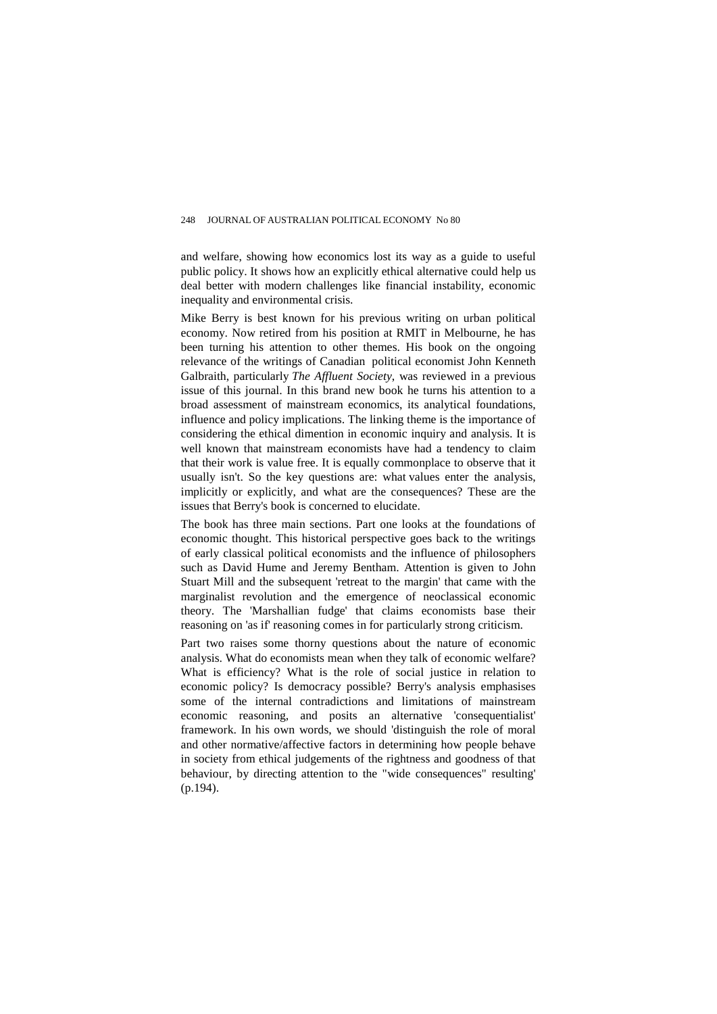and welfare, showing how economics lost its way as a guide to useful public policy. It shows how an explicitly ethical alternative could help us deal better with modern challenges like financial instability, economic inequality and environmental crisis.

Mike Berry is best known for his previous writing on urban political economy. Now retired from his position at RMIT in Melbourne, he has been turning his attention to other themes. His book on the ongoing relevance of the writings of Canadian political economist John Kenneth Galbraith, particularly *The Affluent Society*, was reviewed in a previous issue of this journal. In this brand new book he turns his attention to a broad assessment of mainstream economics, its analytical foundations, influence and policy implications. The linking theme is the importance of considering the ethical dimention in economic inquiry and analysis. It is well known that mainstream economists have had a tendency to claim that their work is value free. It is equally commonplace to observe that it usually isn't. So the key questions are: what values enter the analysis, implicitly or explicitly, and what are the consequences? These are the issues that Berry's book is concerned to elucidate.

The book has three main sections. Part one looks at the foundations of economic thought. This historical perspective goes back to the writings of early classical political economists and the influence of philosophers such as David Hume and Jeremy Bentham. Attention is given to John Stuart Mill and the subsequent 'retreat to the margin' that came with the marginalist revolution and the emergence of neoclassical economic theory. The 'Marshallian fudge' that claims economists base their reasoning on 'as if' reasoning comes in for particularly strong criticism.

Part two raises some thorny questions about the nature of economic analysis. What do economists mean when they talk of economic welfare? What is efficiency? What is the role of social justice in relation to economic policy? Is democracy possible? Berry's analysis emphasises some of the internal contradictions and limitations of mainstream economic reasoning, and posits an alternative 'consequentialist' framework. In his own words, we should 'distinguish the role of moral and other normative/affective factors in determining how people behave in society from ethical judgements of the rightness and goodness of that behaviour, by directing attention to the "wide consequences" resulting' (p.194).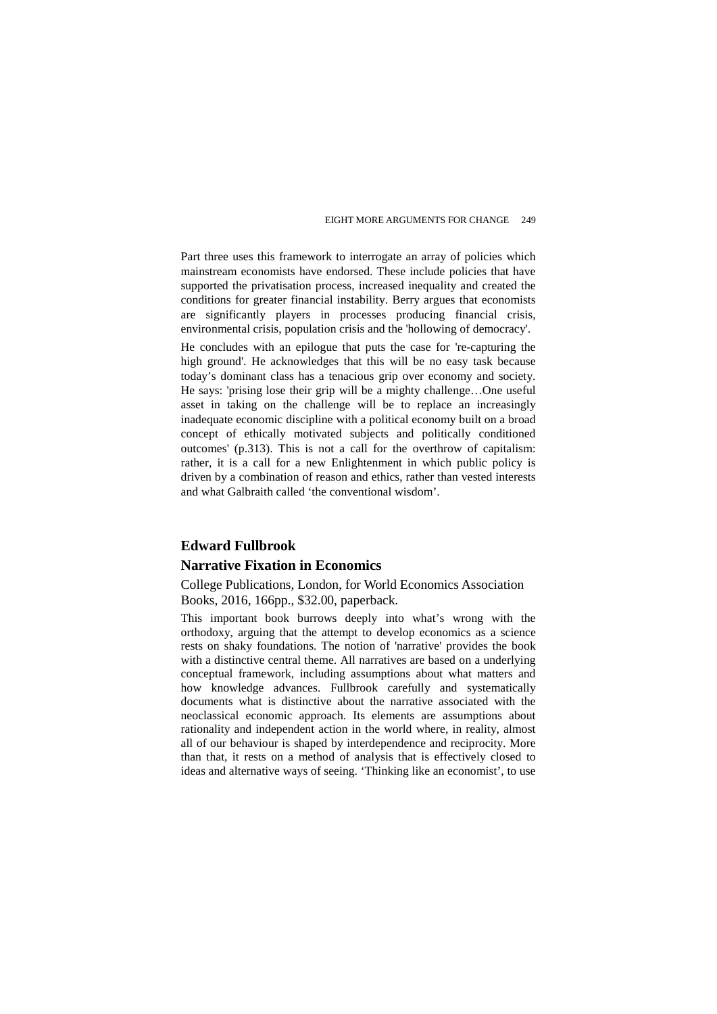Part three uses this framework to interrogate an array of policies which mainstream economists have endorsed. These include policies that have supported the privatisation process, increased inequality and created the conditions for greater financial instability. Berry argues that economists are significantly players in processes producing financial crisis, environmental crisis, population crisis and the 'hollowing of democracy'.

He concludes with an epilogue that puts the case for 're-capturing the high ground'. He acknowledges that this will be no easy task because today's dominant class has a tenacious grip over economy and society. He says: 'prising lose their grip will be a mighty challenge…One useful asset in taking on the challenge will be to replace an increasingly inadequate economic discipline with a political economy built on a broad concept of ethically motivated subjects and politically conditioned outcomes' (p.313). This is not a call for the overthrow of capitalism: rather, it is a call for a new Enlightenment in which public policy is driven by a combination of reason and ethics, rather than vested interests and what Galbraith called 'the conventional wisdom'.

## **Edward Fullbrook**

#### **Narrative Fixation in Economics**

College Publications, London, for World Economics Association Books, 2016, 166pp., \$32.00, paperback.

This important book burrows deeply into what's wrong with the orthodoxy, arguing that the attempt to develop economics as a science rests on shaky foundations. The notion of 'narrative' provides the book with a distinctive central theme. All narratives are based on a underlying conceptual framework, including assumptions about what matters and how knowledge advances. Fullbrook carefully and systematically documents what is distinctive about the narrative associated with the neoclassical economic approach. Its elements are assumptions about rationality and independent action in the world where, in reality, almost all of our behaviour is shaped by interdependence and reciprocity. More than that, it rests on a method of analysis that is effectively closed to ideas and alternative ways of seeing. 'Thinking like an economist', to use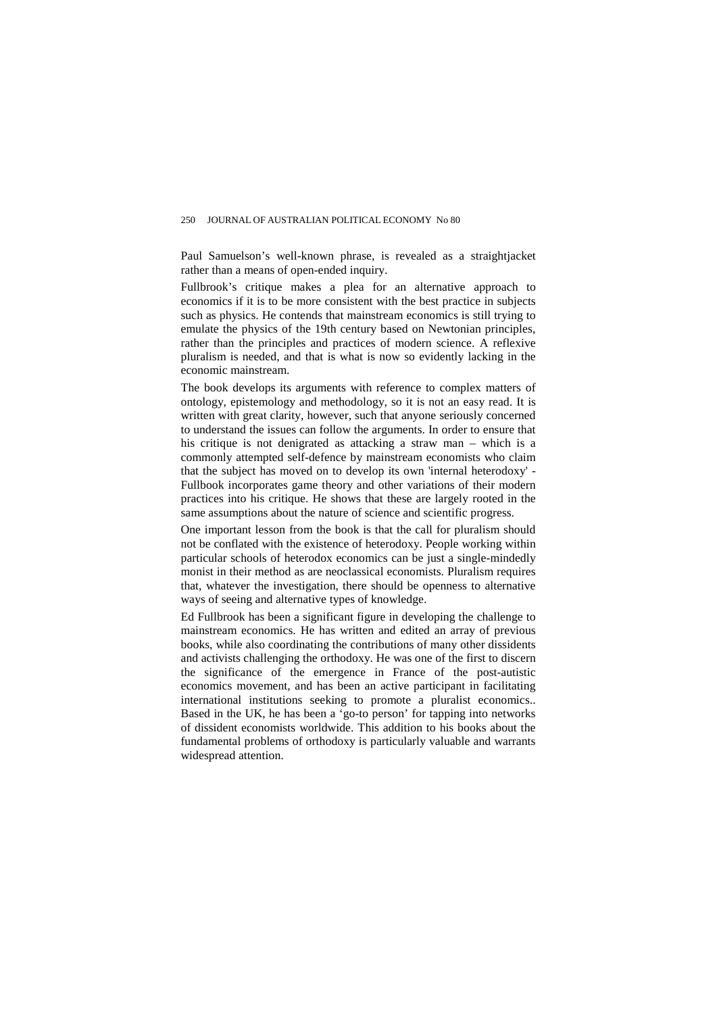Paul Samuelson's well-known phrase, is revealed as a straightjacket rather than a means of open-ended inquiry.

Fullbrook's critique makes a plea for an alternative approach to economics if it is to be more consistent with the best practice in subjects such as physics. He contends that mainstream economics is still trying to emulate the physics of the 19th century based on Newtonian principles, rather than the principles and practices of modern science. A reflexive pluralism is needed, and that is what is now so evidently lacking in the economic mainstream.

The book develops its arguments with reference to complex matters of ontology, epistemology and methodology, so it is not an easy read. It is written with great clarity, however, such that anyone seriously concerned to understand the issues can follow the arguments. In order to ensure that his critique is not denigrated as attacking a straw man – which is a commonly attempted self-defence by mainstream economists who claim that the subject has moved on to develop its own 'internal heterodoxy' - Fullbook incorporates game theory and other variations of their modern practices into his critique. He shows that these are largely rooted in the same assumptions about the nature of science and scientific progress.

One important lesson from the book is that the call for pluralism should not be conflated with the existence of heterodoxy. People working within particular schools of heterodox economics can be just a single-mindedly monist in their method as are neoclassical economists. Pluralism requires that, whatever the investigation, there should be openness to alternative ways of seeing and alternative types of knowledge.

Ed Fullbrook has been a significant figure in developing the challenge to mainstream economics. He has written and edited an array of previous books, while also coordinating the contributions of many other dissidents and activists challenging the orthodoxy. He was one of the first to discern the significance of the emergence in France of the post-autistic economics movement, and has been an active participant in facilitating international institutions seeking to promote a pluralist economics.. Based in the UK, he has been a 'go-to person' for tapping into networks of dissident economists worldwide. This addition to his books about the fundamental problems of orthodoxy is particularly valuable and warrants widespread attention.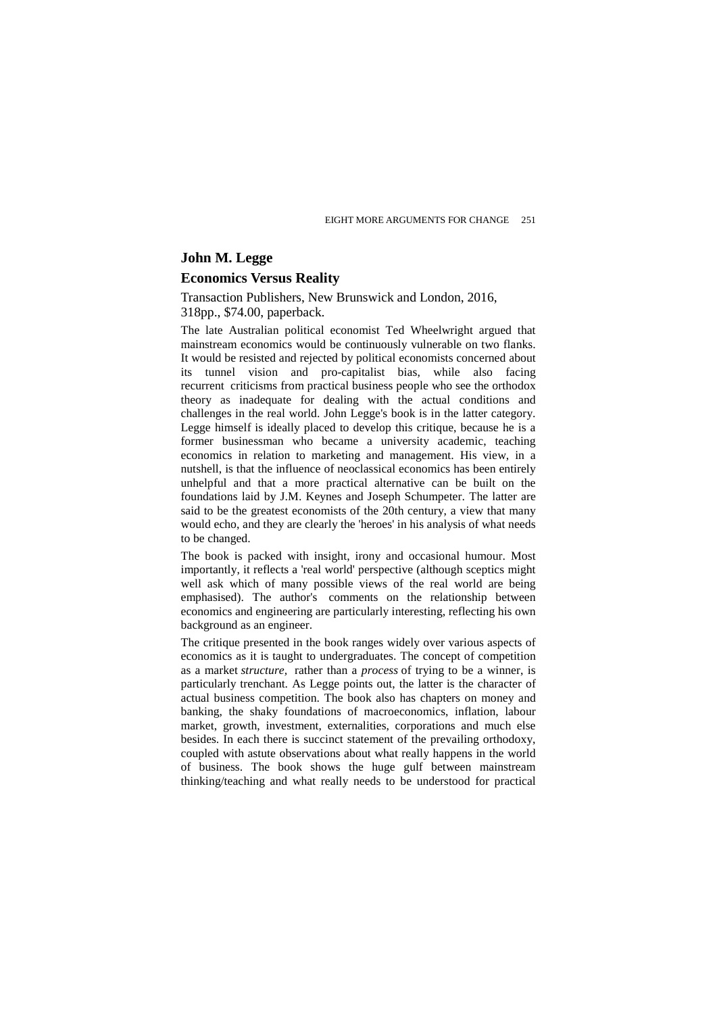## **John M. Legge**

## **Economics Versus Reality**

Transaction Publishers, New Brunswick and London, 2016,

318pp., \$74.00, paperback.

The late Australian political economist Ted Wheelwright argued that mainstream economics would be continuously vulnerable on two flanks. It would be resisted and rejected by political economists concerned about its tunnel vision and pro-capitalist bias, while also facing recurrent criticisms from practical business people who see the orthodox theory as inadequate for dealing with the actual conditions and challenges in the real world. John Legge's book is in the latter category. Legge himself is ideally placed to develop this critique, because he is a former businessman who became a university academic, teaching economics in relation to marketing and management. His view, in a nutshell, is that the influence of neoclassical economics has been entirely unhelpful and that a more practical alternative can be built on the foundations laid by J.M. Keynes and Joseph Schumpeter. The latter are said to be the greatest economists of the 20th century, a view that many would echo, and they are clearly the 'heroes' in his analysis of what needs to be changed.

The book is packed with insight, irony and occasional humour. Most importantly, it reflects a 'real world' perspective (although sceptics might well ask which of many possible views of the real world are being emphasised). The author's comments on the relationship between economics and engineering are particularly interesting, reflecting his own background as an engineer.

The critique presented in the book ranges widely over various aspects of economics as it is taught to undergraduates. The concept of competition as a market *structure,* rather than a *process* of trying to be a winner, is particularly trenchant. As Legge points out, the latter is the character of actual business competition. The book also has chapters on money and banking, the shaky foundations of macroeconomics, inflation, labour market, growth, investment, externalities, corporations and much else besides. In each there is succinct statement of the prevailing orthodoxy, coupled with astute observations about what really happens in the world of business. The book shows the huge gulf between mainstream thinking/teaching and what really needs to be understood for practical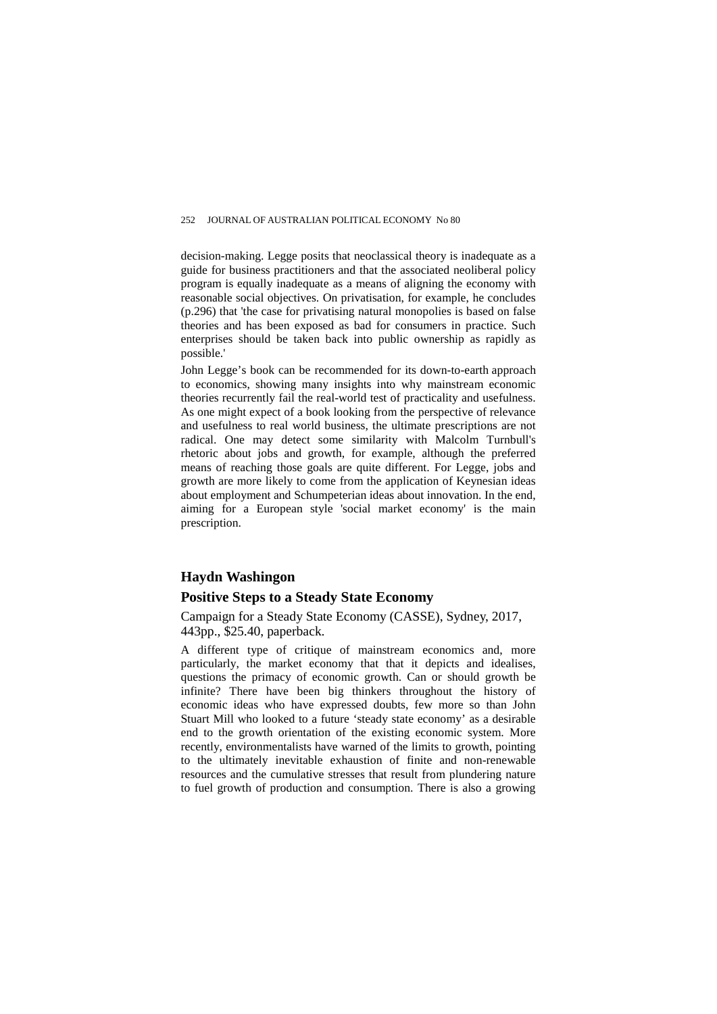decision-making. Legge posits that neoclassical theory is inadequate as a guide for business practitioners and that the associated neoliberal policy program is equally inadequate as a means of aligning the economy with reasonable social objectives. On privatisation, for example, he concludes (p.296) that 'the case for privatising natural monopolies is based on false theories and has been exposed as bad for consumers in practice. Such enterprises should be taken back into public ownership as rapidly as possible.'

John Legge's book can be recommended for its down-to-earth approach to economics, showing many insights into why mainstream economic theories recurrently fail the real-world test of practicality and usefulness. As one might expect of a book looking from the perspective of relevance and usefulness to real world business, the ultimate prescriptions are not radical. One may detect some similarity with Malcolm Turnbull's rhetoric about jobs and growth, for example, although the preferred means of reaching those goals are quite different. For Legge, jobs and growth are more likely to come from the application of Keynesian ideas about employment and Schumpeterian ideas about innovation. In the end, aiming for a European style 'social market economy' is the main prescription.

#### **Haydn Washingon**

#### **Positive Steps to a Steady State Economy**

Campaign for a Steady State Economy (CASSE), Sydney, 2017, 443pp., \$25.40, paperback.

A different type of critique of mainstream economics and, more particularly, the market economy that that it depicts and idealises, questions the primacy of economic growth. Can or should growth be infinite? There have been big thinkers throughout the history of economic ideas who have expressed doubts, few more so than John Stuart Mill who looked to a future 'steady state economy' as a desirable end to the growth orientation of the existing economic system. More recently, environmentalists have warned of the limits to growth, pointing to the ultimately inevitable exhaustion of finite and non-renewable resources and the cumulative stresses that result from plundering nature to fuel growth of production and consumption. There is also a growing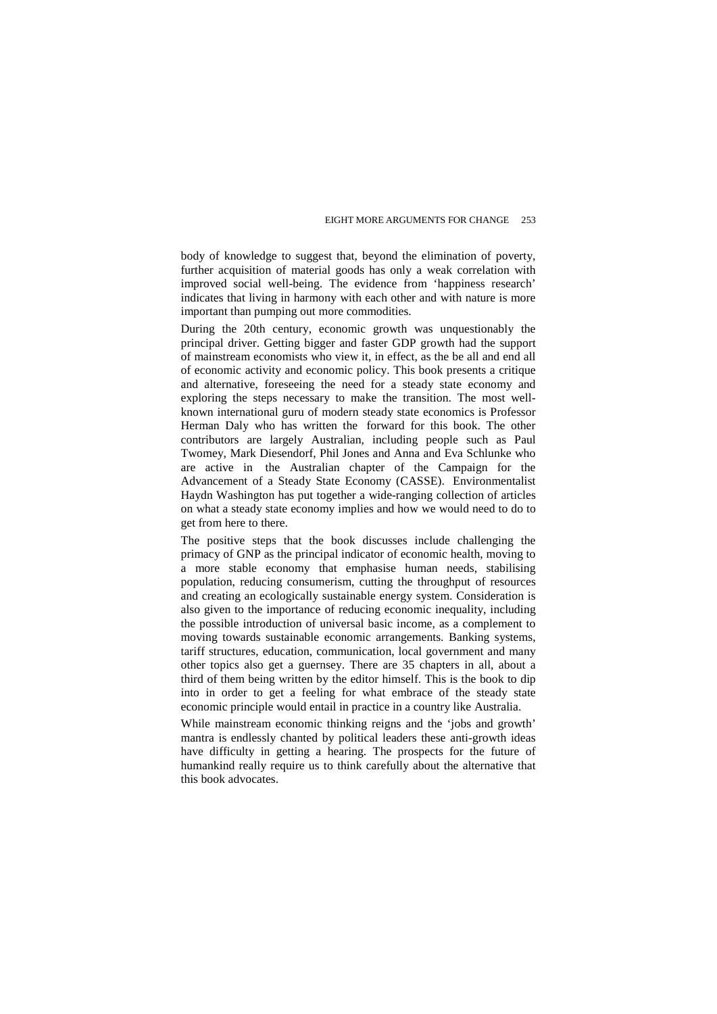body of knowledge to suggest that, beyond the elimination of poverty, further acquisition of material goods has only a weak correlation with improved social well-being. The evidence from 'happiness research' indicates that living in harmony with each other and with nature is more important than pumping out more commodities.

During the 20th century, economic growth was unquestionably the principal driver. Getting bigger and faster GDP growth had the support of mainstream economists who view it, in effect, as the be all and end all of economic activity and economic policy. This book presents a critique and alternative, foreseeing the need for a steady state economy and exploring the steps necessary to make the transition. The most wellknown international guru of modern steady state economics is Professor Herman Daly who has written the forward for this book. The other contributors are largely Australian, including people such as Paul Twomey, Mark Diesendorf, Phil Jones and Anna and Eva Schlunke who are active in the Australian chapter of the Campaign for the Advancement of a Steady State Economy (CASSE). Environmentalist Haydn Washington has put together a wide-ranging collection of articles on what a steady state economy implies and how we would need to do to get from here to there.

The positive steps that the book discusses include challenging the primacy of GNP as the principal indicator of economic health, moving to a more stable economy that emphasise human needs, stabilising population, reducing consumerism, cutting the throughput of resources and creating an ecologically sustainable energy system. Consideration is also given to the importance of reducing economic inequality, including the possible introduction of universal basic income, as a complement to moving towards sustainable economic arrangements. Banking systems, tariff structures, education, communication, local government and many other topics also get a guernsey. There are 35 chapters in all, about a third of them being written by the editor himself. This is the book to dip into in order to get a feeling for what embrace of the steady state economic principle would entail in practice in a country like Australia.

While mainstream economic thinking reigns and the 'jobs and growth' mantra is endlessly chanted by political leaders these anti-growth ideas have difficulty in getting a hearing. The prospects for the future of humankind really require us to think carefully about the alternative that this book advocates.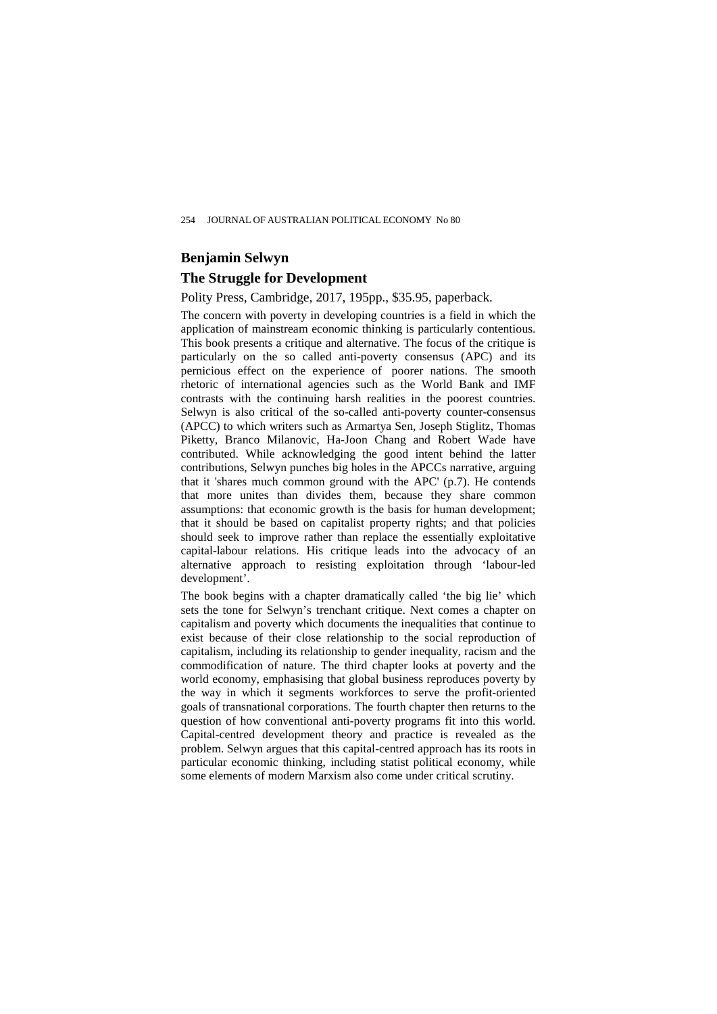## **Benjamin Selwyn**

## **The Struggle for Development**

Polity Press, Cambridge, 2017, 195pp., \$35.95, paperback.

The concern with poverty in developing countries is a field in which the application of mainstream economic thinking is particularly contentious. This book presents a critique and alternative. The focus of the critique is particularly on the so called anti-poverty consensus (APC) and its pernicious effect on the experience of poorer nations. The smooth rhetoric of international agencies such as the World Bank and IMF contrasts with the continuing harsh realities in the poorest countries. Selwyn is also critical of the so-called anti-poverty counter-consensus (APCC) to which writers such as Armartya Sen, Joseph Stiglitz, Thomas Piketty, Branco Milanovic, Ha-Joon Chang and Robert Wade have contributed. While acknowledging the good intent behind the latter contributions, Selwyn punches big holes in the APCCs narrative, arguing that it 'shares much common ground with the APC' (p.7). He contends that more unites than divides them, because they share common assumptions: that economic growth is the basis for human development; that it should be based on capitalist property rights; and that policies should seek to improve rather than replace the essentially exploitative capital-labour relations. His critique leads into the advocacy of an alternative approach to resisting exploitation through 'labour-led development'.

The book begins with a chapter dramatically called 'the big lie' which sets the tone for Selwyn's trenchant critique. Next comes a chapter on capitalism and poverty which documents the inequalities that continue to exist because of their close relationship to the social reproduction of capitalism, including its relationship to gender inequality, racism and the commodification of nature. The third chapter looks at poverty and the world economy, emphasising that global business reproduces poverty by the way in which it segments workforces to serve the profit-oriented goals of transnational corporations. The fourth chapter then returns to the question of how conventional anti-poverty programs fit into this world. Capital-centred development theory and practice is revealed as the problem. Selwyn argues that this capital-centred approach has its roots in particular economic thinking, including statist political economy, while some elements of modern Marxism also come under critical scrutiny.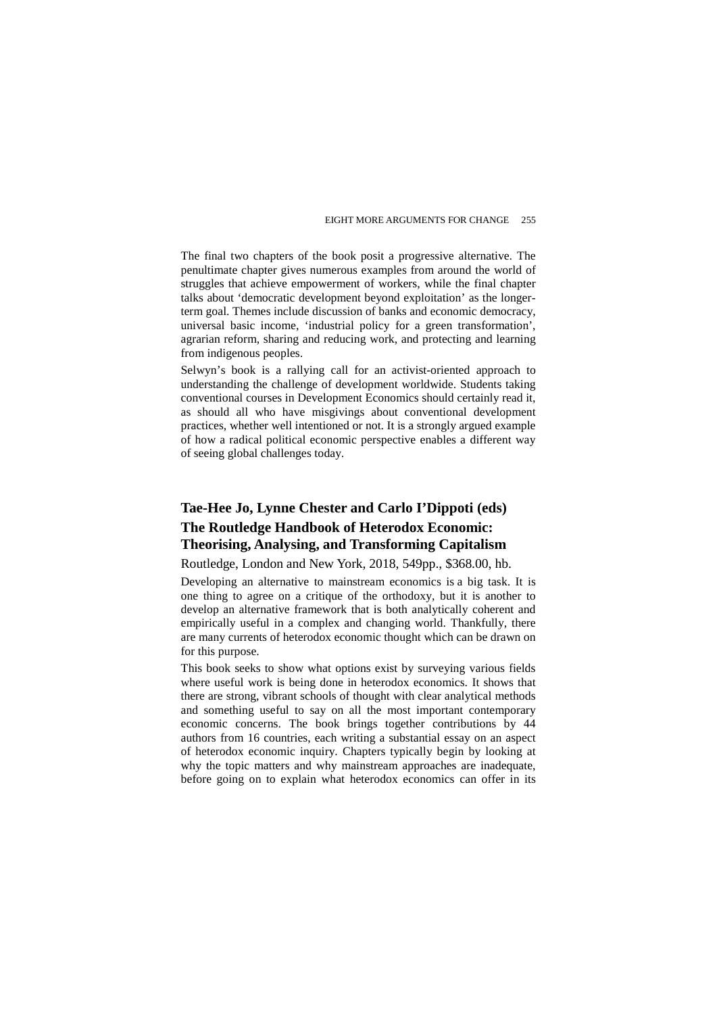The final two chapters of the book posit a progressive alternative. The penultimate chapter gives numerous examples from around the world of struggles that achieve empowerment of workers, while the final chapter talks about 'democratic development beyond exploitation' as the longerterm goal. Themes include discussion of banks and economic democracy, universal basic income, 'industrial policy for a green transformation', agrarian reform, sharing and reducing work, and protecting and learning from indigenous peoples.

Selwyn's book is a rallying call for an activist-oriented approach to understanding the challenge of development worldwide. Students taking conventional courses in Development Economics should certainly read it, as should all who have misgivings about conventional development practices, whether well intentioned or not. It is a strongly argued example of how a radical political economic perspective enables a different way of seeing global challenges today.

# **Tae-Hee Jo, Lynne Chester and Carlo I'Dippoti (eds) The Routledge Handbook of Heterodox Economic: Theorising, Analysing, and Transforming Capitalism**

Routledge, London and New York, 2018, 549pp., \$368.00, hb.

Developing an alternative to mainstream economics is a big task. It is one thing to agree on a critique of the orthodoxy, but it is another to develop an alternative framework that is both analytically coherent and empirically useful in a complex and changing world. Thankfully, there are many currents of heterodox economic thought which can be drawn on for this purpose.

This book seeks to show what options exist by surveying various fields where useful work is being done in heterodox economics. It shows that there are strong, vibrant schools of thought with clear analytical methods and something useful to say on all the most important contemporary economic concerns. The book brings together contributions by 44 authors from 16 countries, each writing a substantial essay on an aspect of heterodox economic inquiry. Chapters typically begin by looking at why the topic matters and why mainstream approaches are inadequate, before going on to explain what heterodox economics can offer in its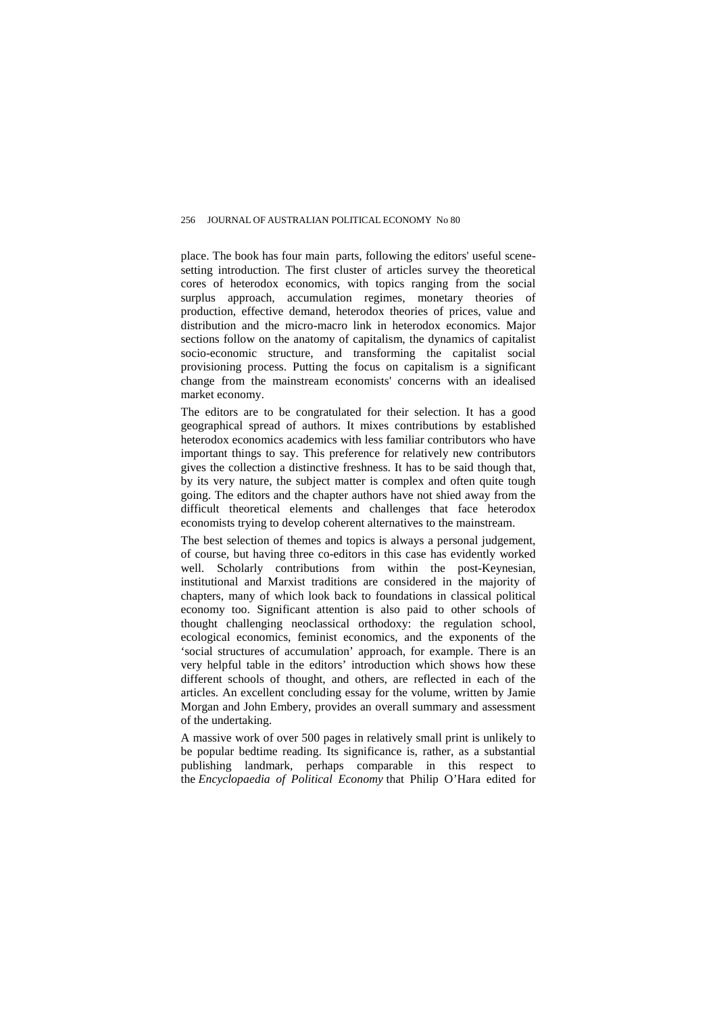place. The book has four main parts, following the editors' useful scenesetting introduction. The first cluster of articles survey the theoretical cores of heterodox economics, with topics ranging from the social surplus approach, accumulation regimes, monetary theories of production, effective demand, heterodox theories of prices, value and distribution and the micro-macro link in heterodox economics. Major sections follow on the anatomy of capitalism, the dynamics of capitalist socio-economic structure, and transforming the capitalist social provisioning process. Putting the focus on capitalism is a significant change from the mainstream economists' concerns with an idealised market economy.

The editors are to be congratulated for their selection. It has a good geographical spread of authors. It mixes contributions by established heterodox economics academics with less familiar contributors who have important things to say. This preference for relatively new contributors gives the collection a distinctive freshness. It has to be said though that, by its very nature, the subject matter is complex and often quite tough going. The editors and the chapter authors have not shied away from the difficult theoretical elements and challenges that face heterodox economists trying to develop coherent alternatives to the mainstream.

The best selection of themes and topics is always a personal judgement, of course, but having three co-editors in this case has evidently worked well. Scholarly contributions from within the post-Keynesian, institutional and Marxist traditions are considered in the majority of chapters, many of which look back to foundations in classical political economy too. Significant attention is also paid to other schools of thought challenging neoclassical orthodoxy: the regulation school, ecological economics, feminist economics, and the exponents of the 'social structures of accumulation' approach, for example. There is an very helpful table in the editors' introduction which shows how these different schools of thought, and others, are reflected in each of the articles. An excellent concluding essay for the volume, written by Jamie Morgan and John Embery, provides an overall summary and assessment of the undertaking.

A massive work of over 500 pages in relatively small print is unlikely to be popular bedtime reading. Its significance is, rather, as a substantial publishing landmark, perhaps comparable in this respect to the *Encyclopaedia of Political Economy* that Philip O'Hara edited for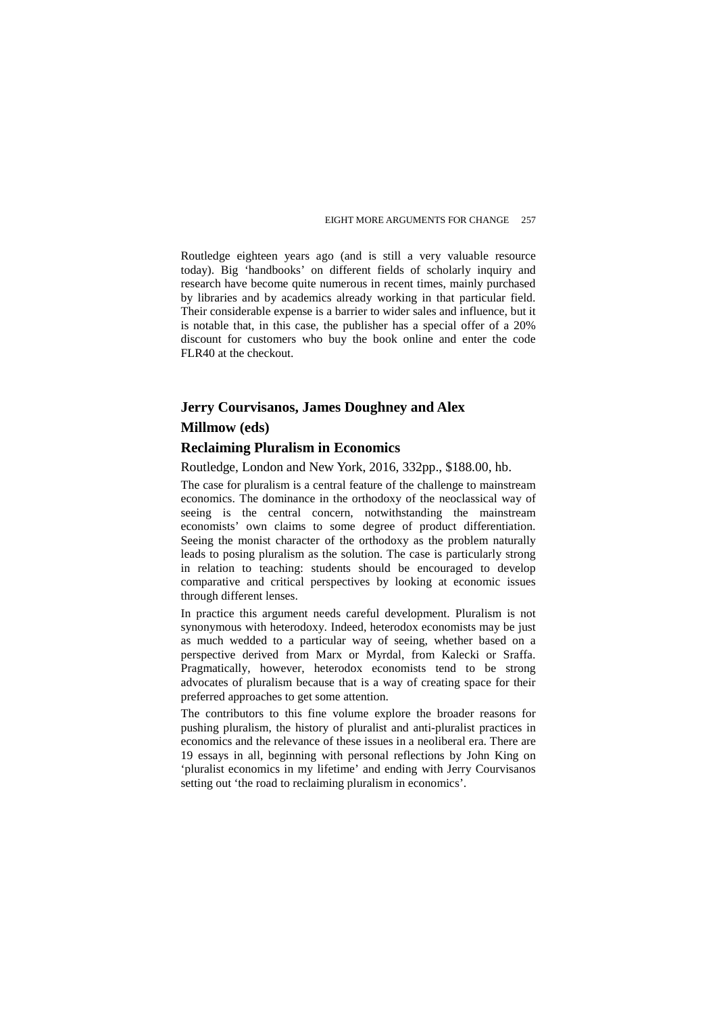Routledge eighteen years ago (and is still a very valuable resource today). Big 'handbooks' on different fields of scholarly inquiry and research have become quite numerous in recent times, mainly purchased by libraries and by academics already working in that particular field. Their considerable expense is a barrier to wider sales and influence, but it is notable that, in this case, the publisher has a special offer of a 20% discount for customers who buy the book online and enter the code FLR40 at the checkout.

## **Jerry Courvisanos, James Doughney and Alex**

## **Millmow (eds)**

## **Reclaiming Pluralism in Economics**

Routledge, London and New York, 2016, 332pp., \$188.00, hb.

The case for pluralism is a central feature of the challenge to mainstream economics. The dominance in the orthodoxy of the neoclassical way of seeing is the central concern, notwithstanding the mainstream economists' own claims to some degree of product differentiation. Seeing the monist character of the orthodoxy as the problem naturally leads to posing pluralism as the solution. The case is particularly strong in relation to teaching: students should be encouraged to develop comparative and critical perspectives by looking at economic issues through different lenses.

In practice this argument needs careful development. Pluralism is not synonymous with heterodoxy. Indeed, heterodox economists may be just as much wedded to a particular way of seeing, whether based on a perspective derived from Marx or Myrdal, from Kalecki or Sraffa. Pragmatically, however, heterodox economists tend to be strong advocates of pluralism because that is a way of creating space for their preferred approaches to get some attention.

The contributors to this fine volume explore the broader reasons for pushing pluralism, the history of pluralist and anti-pluralist practices in economics and the relevance of these issues in a neoliberal era. There are 19 essays in all, beginning with personal reflections by John King on 'pluralist economics in my lifetime' and ending with Jerry Courvisanos setting out 'the road to reclaiming pluralism in economics'.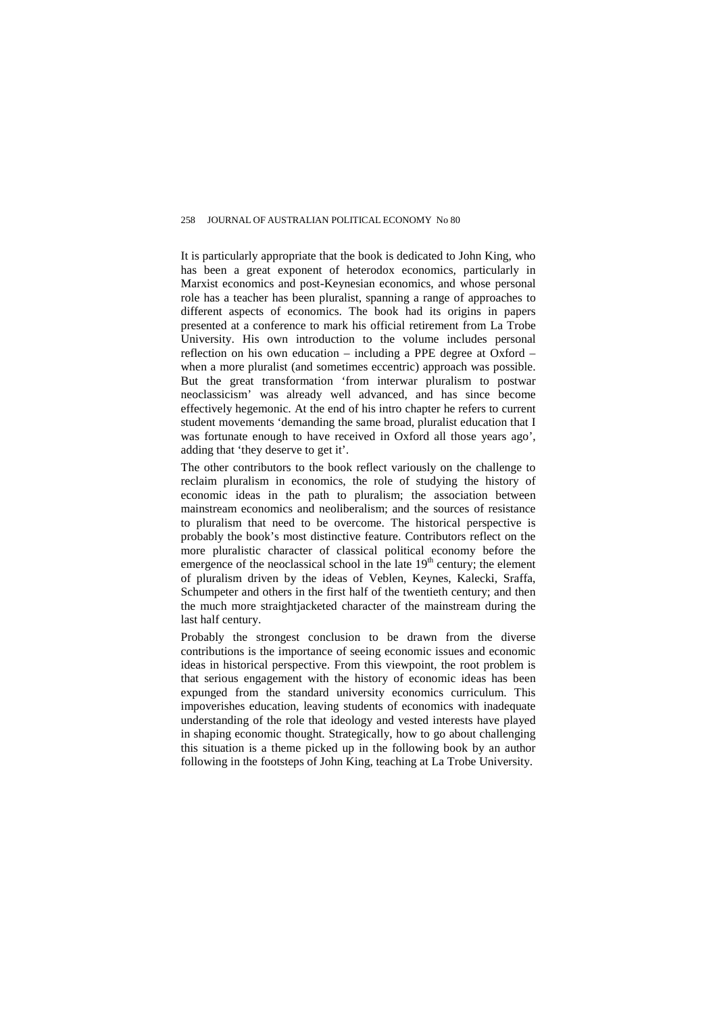It is particularly appropriate that the book is dedicated to John King, who has been a great exponent of heterodox economics, particularly in Marxist economics and post-Keynesian economics, and whose personal role has a teacher has been pluralist, spanning a range of approaches to different aspects of economics. The book had its origins in papers presented at a conference to mark his official retirement from La Trobe University. His own introduction to the volume includes personal reflection on his own education – including a PPE degree at Oxford – when a more pluralist (and sometimes eccentric) approach was possible. But the great transformation 'from interwar pluralism to postwar neoclassicism' was already well advanced, and has since become effectively hegemonic. At the end of his intro chapter he refers to current student movements 'demanding the same broad, pluralist education that I was fortunate enough to have received in Oxford all those years ago', adding that 'they deserve to get it'.

The other contributors to the book reflect variously on the challenge to reclaim pluralism in economics, the role of studying the history of economic ideas in the path to pluralism; the association between mainstream economics and neoliberalism; and the sources of resistance to pluralism that need to be overcome. The historical perspective is probably the book's most distinctive feature. Contributors reflect on the more pluralistic character of classical political economy before the emergence of the neoclassical school in the late  $19<sup>th</sup>$  century; the element of pluralism driven by the ideas of Veblen, Keynes, Kalecki, Sraffa, Schumpeter and others in the first half of the twentieth century; and then the much more straightjacketed character of the mainstream during the last half century.

Probably the strongest conclusion to be drawn from the diverse contributions is the importance of seeing economic issues and economic ideas in historical perspective. From this viewpoint, the root problem is that serious engagement with the history of economic ideas has been expunged from the standard university economics curriculum. This impoverishes education, leaving students of economics with inadequate understanding of the role that ideology and vested interests have played in shaping economic thought. Strategically, how to go about challenging this situation is a theme picked up in the following book by an author following in the footsteps of John King, teaching at La Trobe University.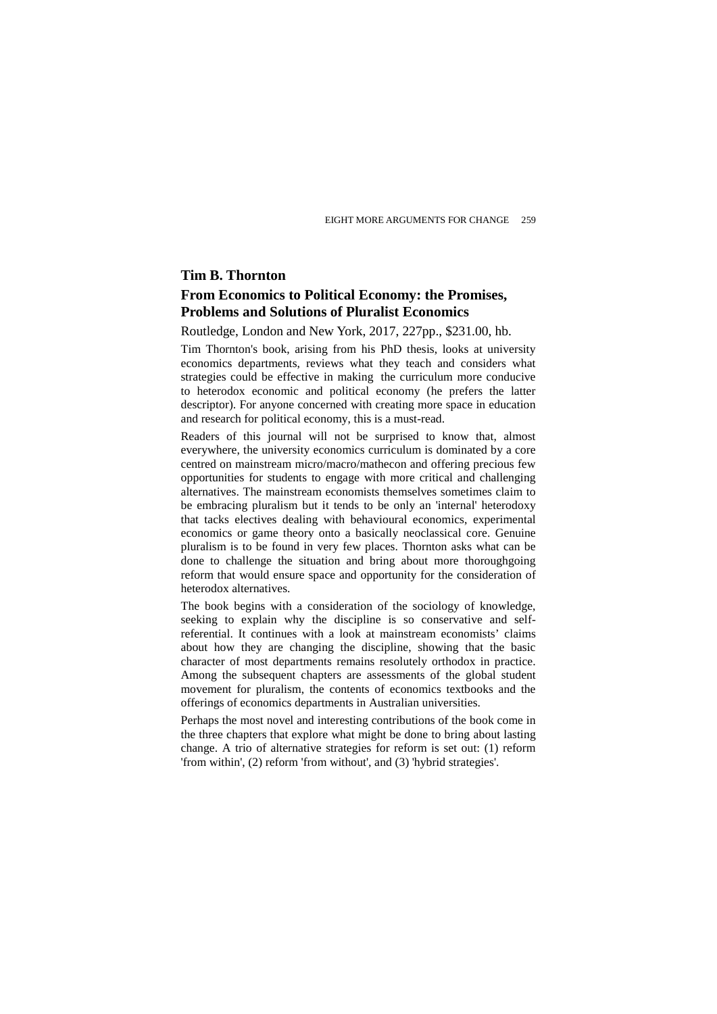## **Tim B. Thornton From Economics to Political Economy: the Promises, Problems and Solutions of Pluralist Economics**

Routledge, London and New York, 2017, 227pp., \$231.00, hb.

Tim Thornton's book, arising from his PhD thesis, looks at university economics departments, reviews what they teach and considers what strategies could be effective in making the curriculum more conducive to heterodox economic and political economy (he prefers the latter descriptor). For anyone concerned with creating more space in education and research for political economy, this is a must-read.

Readers of this journal will not be surprised to know that, almost everywhere, the university economics curriculum is dominated by a core centred on mainstream micro/macro/mathecon and offering precious few opportunities for students to engage with more critical and challenging alternatives. The mainstream economists themselves sometimes claim to be embracing pluralism but it tends to be only an 'internal' heterodoxy that tacks electives dealing with behavioural economics, experimental economics or game theory onto a basically neoclassical core. Genuine pluralism is to be found in very few places. Thornton asks what can be done to challenge the situation and bring about more thoroughgoing reform that would ensure space and opportunity for the consideration of heterodox alternatives.

The book begins with a consideration of the sociology of knowledge, seeking to explain why the discipline is so conservative and selfreferential. It continues with a look at mainstream economists' claims about how they are changing the discipline, showing that the basic character of most departments remains resolutely orthodox in practice. Among the subsequent chapters are assessments of the global student movement for pluralism, the contents of economics textbooks and the offerings of economics departments in Australian universities.

Perhaps the most novel and interesting contributions of the book come in the three chapters that explore what might be done to bring about lasting change. A trio of alternative strategies for reform is set out: (1) reform 'from within', (2) reform 'from without', and (3) 'hybrid strategies'.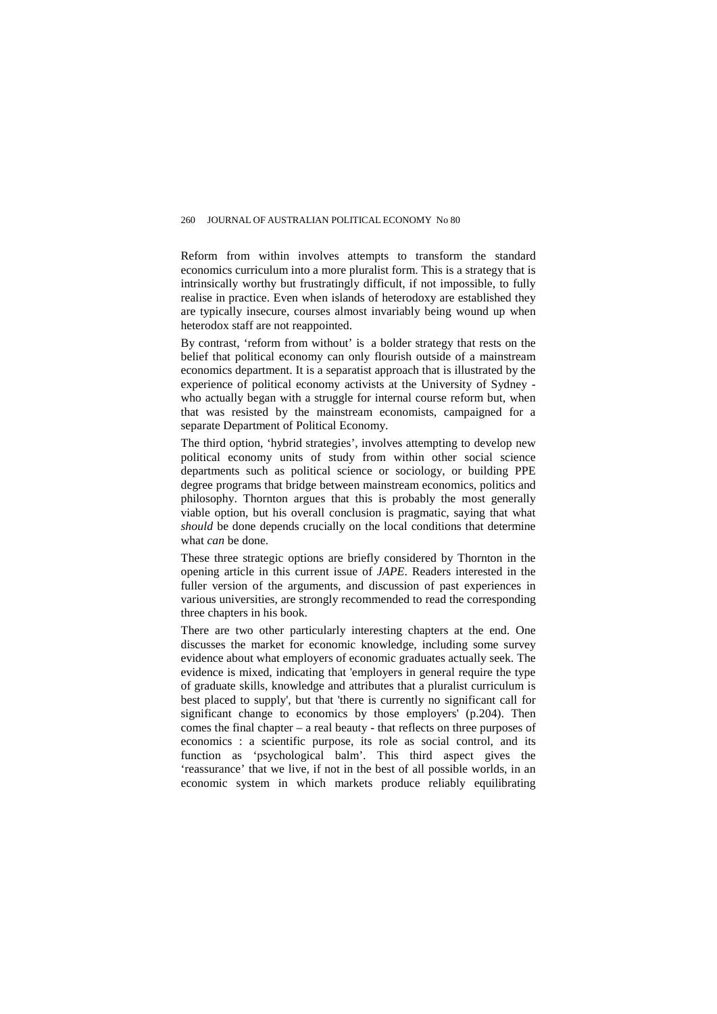Reform from within involves attempts to transform the standard economics curriculum into a more pluralist form. This is a strategy that is intrinsically worthy but frustratingly difficult, if not impossible, to fully realise in practice. Even when islands of heterodoxy are established they are typically insecure, courses almost invariably being wound up when heterodox staff are not reappointed.

By contrast, 'reform from without' is a bolder strategy that rests on the belief that political economy can only flourish outside of a mainstream economics department. It is a separatist approach that is illustrated by the experience of political economy activists at the University of Sydney who actually began with a struggle for internal course reform but, when that was resisted by the mainstream economists, campaigned for a separate Department of Political Economy.

The third option, 'hybrid strategies', involves attempting to develop new political economy units of study from within other social science departments such as political science or sociology, or building PPE degree programs that bridge between mainstream economics, politics and philosophy. Thornton argues that this is probably the most generally viable option, but his overall conclusion is pragmatic, saying that what *should* be done depends crucially on the local conditions that determine what *can* be done.

These three strategic options are briefly considered by Thornton in the opening article in this current issue of *JAPE*. Readers interested in the fuller version of the arguments, and discussion of past experiences in various universities, are strongly recommended to read the corresponding three chapters in his book.

There are two other particularly interesting chapters at the end. One discusses the market for economic knowledge, including some survey evidence about what employers of economic graduates actually seek. The evidence is mixed, indicating that 'employers in general require the type of graduate skills, knowledge and attributes that a pluralist curriculum is best placed to supply', but that 'there is currently no significant call for significant change to economics by those employers' (p.204). Then comes the final chapter – a real beauty - that reflects on three purposes of economics : a scientific purpose, its role as social control, and its function as 'psychological balm'. This third aspect gives the 'reassurance' that we live, if not in the best of all possible worlds, in an economic system in which markets produce reliably equilibrating